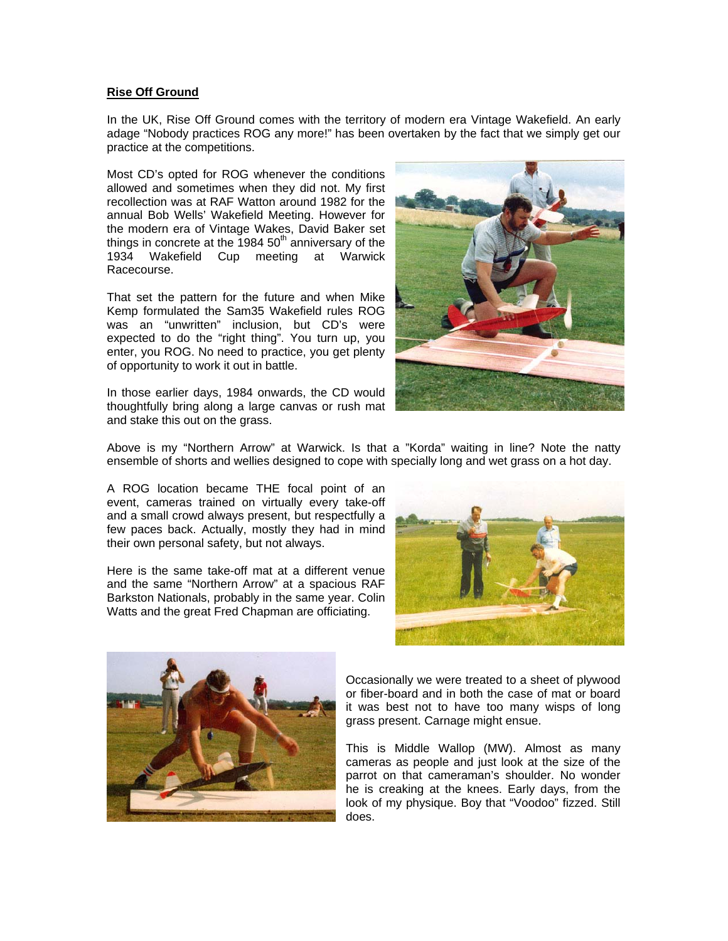## **Rise Off Ground**

In the UK, Rise Off Ground comes with the territory of modern era Vintage Wakefield. An early adage "Nobody practices ROG any more!" has been overtaken by the fact that we simply get our practice at the competitions.

Most CD's opted for ROG whenever the conditions allowed and sometimes when they did not. My first recollection was at RAF Watton around 1982 for the annual Bob Wells' Wakefield Meeting. However for the modern era of Vintage Wakes, David Baker set things in concrete at the  $1984~50<sup>th</sup>$  anniversary of the 1934 Wakefield Cup meeting at Warwick Racecourse.

That set the pattern for the future and when Mike Kemp formulated the Sam35 Wakefield rules ROG was an "unwritten" inclusion, but CD's were expected to do the "right thing". You turn up, you enter, you ROG. No need to practice, you get plenty of opportunity to work it out in battle.

In those earlier days, 1984 onwards, the CD would thoughtfully bring along a large canvas or rush mat and stake this out on the grass.



Above is my "Northern Arrow" at Warwick. Is that a "Korda" waiting in line? Note the natty ensemble of shorts and wellies designed to cope with specially long and wet grass on a hot day.

A ROG location became THE focal point of an event, cameras trained on virtually every take-off and a small crowd always present, but respectfully a few paces back. Actually, mostly they had in mind their own personal safety, but not always.

Here is the same take-off mat at a different venue and the same "Northern Arrow" at a spacious RAF Barkston Nationals, probably in the same year. Colin Watts and the great Fred Chapman are officiating.





Occasionally we were treated to a sheet of plywood or fiber-board and in both the case of mat or board it was best not to have too many wisps of long grass present. Carnage might ensue.

This is Middle Wallop (MW). Almost as many cameras as people and just look at the size of the parrot on that cameraman's shoulder. No wonder he is creaking at the knees. Early days, from the look of my physique. Boy that "Voodoo" fizzed. Still does.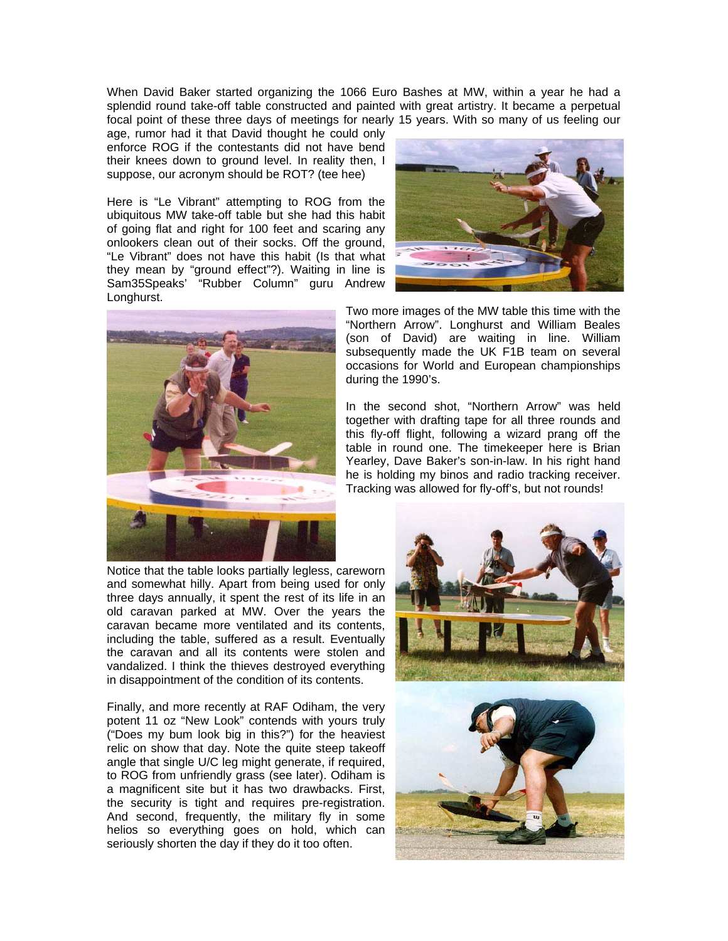When David Baker started organizing the 1066 Euro Bashes at MW, within a year he had a splendid round take-off table constructed and painted with great artistry. It became a perpetual focal point of these three days of meetings for nearly 15 years. With so many of us feeling our

age, rumor had it that David thought he could only enforce ROG if the contestants did not have bend their knees down to ground level. In reality then, I suppose, our acronym should be ROT? (tee hee)

Here is "Le Vibrant" attempting to ROG from the ubiquitous MW take-off table but she had this habit of going flat and right for 100 feet and scaring any onlookers clean out of their socks. Off the ground, "Le Vibrant" does not have this habit (Is that what they mean by "ground effect"?). Waiting in line is Sam35Speaks' "Rubber Column" guru Andrew Longhurst.



Two more images of the MW table this time with the "Northern Arrow". Longhurst and William Beales (son of David) are waiting in line. William subsequently made the UK F1B team on several occasions for World and European championships during the 1990's.

In the second shot, "Northern Arrow" was held together with drafting tape for all three rounds and this fly-off flight, following a wizard prang off the table in round one. The timekeeper here is Brian Yearley, Dave Baker's son-in-law. In his right hand he is holding my binos and radio tracking receiver. Tracking was allowed for fly-off's, but not rounds!

Notice that the table looks partially legless, careworn and somewhat hilly. Apart from being used for only three days annually, it spent the rest of its life in an old caravan parked at MW. Over the years the caravan became more ventilated and its contents, including the table, suffered as a result. Eventually the caravan and all its contents were stolen and vandalized. I think the thieves destroyed everything in disappointment of the condition of its contents.

Finally, and more recently at RAF Odiham, the very potent 11 oz "New Look" contends with yours truly ("Does my bum look big in this?") for the heaviest relic on show that day. Note the quite steep takeoff angle that single U/C leg might generate, if required, to ROG from unfriendly grass (see later). Odiham is a magnificent site but it has two drawbacks. First, the security is tight and requires pre-registration. And second, frequently, the military fly in some helios so everything goes on hold, which can seriously shorten the day if they do it too often.